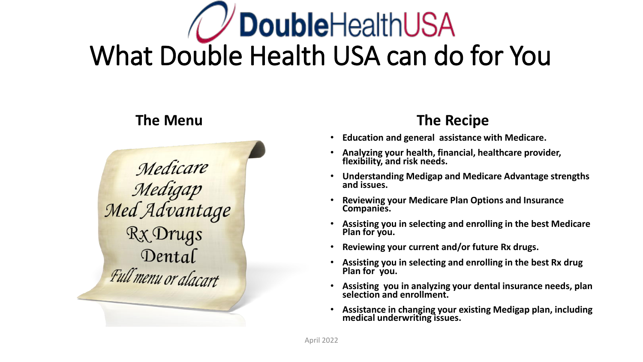# **DoubleHealthUSA** What Double Health USA can do for You



## **The Menu The Recipe**

- **Education and general assistance with Medicare.**
- **Analyzing your health, financial, healthcare provider, flexibility, and risk needs.**
- **Understanding Medigap and Medicare Advantage strengths and issues.**
- **Reviewing your Medicare Plan Options and Insurance Companies.**
- **Assisting you in selecting and enrolling in the best Medicare Plan for you.**
- **Reviewing your current and/or future Rx drugs.**
- **Assisting you in selecting and enrolling in the best Rx drug Plan for you.**
- **Assisting you in analyzing your dental insurance needs, plan selection and enrollment.**
- **Assistance in changing your existing Medigap plan, including medical underwriting issues.**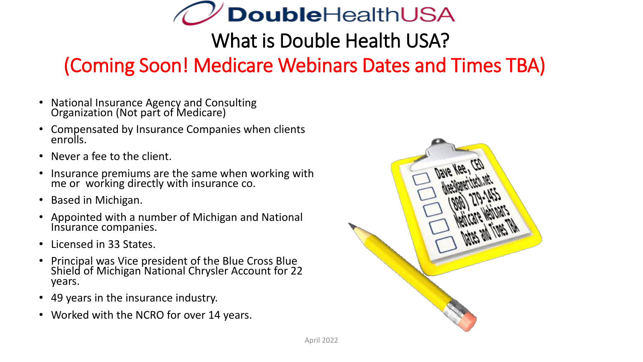

What is Double Health USA?

## (Coming Soon! Medicare Webinars Dates and Times TBA)

- National Insurance Agency and Consulting Organization (Not part of Medicare)
- Compensated by Insurance Companies when clients enrolls.
- Never a fee to the client.
- Insurance premiums are the same when working with me or working directly with insurance co.
- Based in Michigan.
- Appointed with a number of Michigan and National Insurance companies.
- Licensed in 33 States.
- Principal was Vice president of the Blue Cross Blue Shield of Michigan National Chrysler Account for 22 years.
- 49 years in the insurance industry.
- Worked with the NCRO for over 14 years.